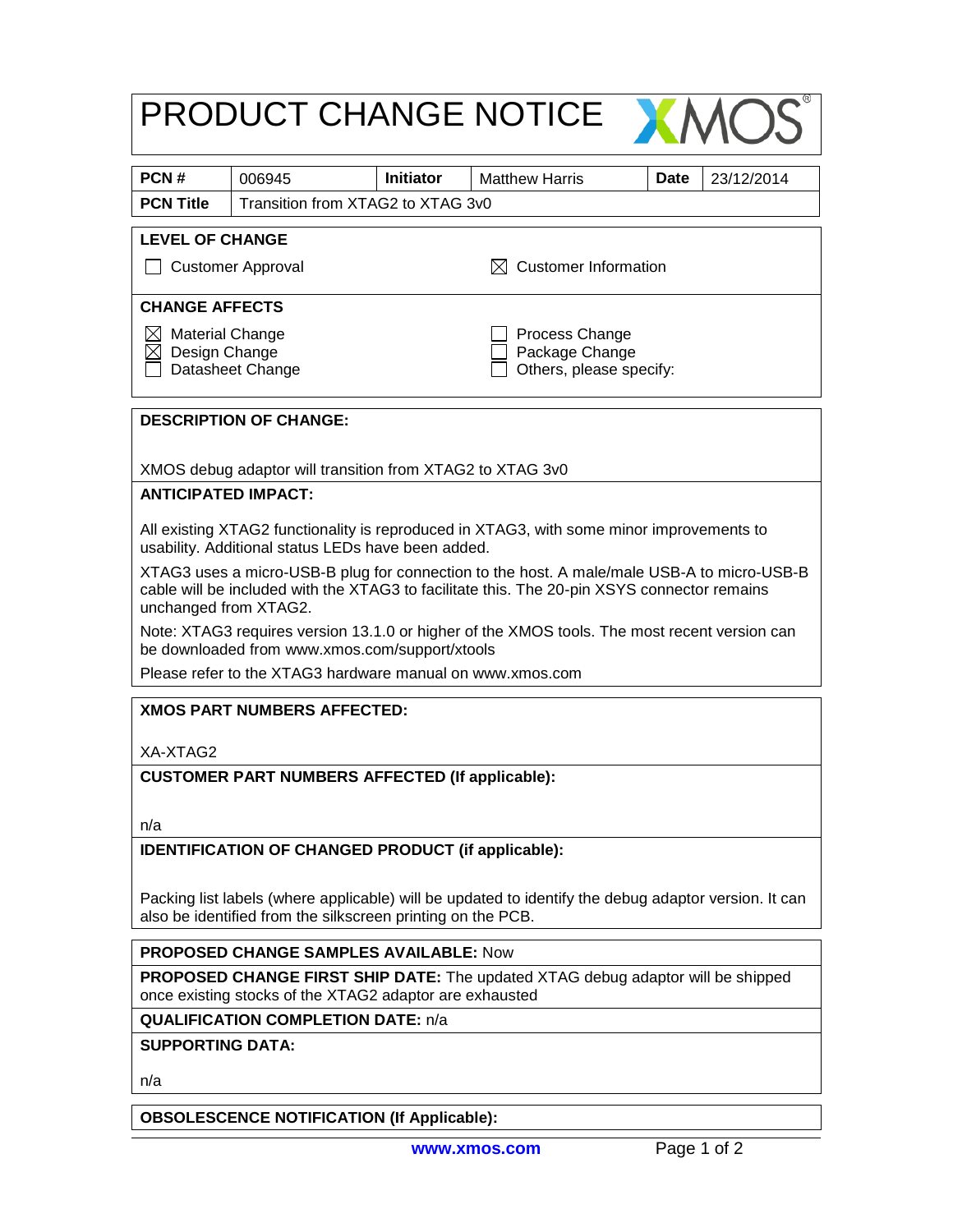|                                                                                                                                                |                                                           |                  | PRODUCT CHANGE NOTICE                     |                                                                                              |  |  |
|------------------------------------------------------------------------------------------------------------------------------------------------|-----------------------------------------------------------|------------------|-------------------------------------------|----------------------------------------------------------------------------------------------|--|--|
| PCN#                                                                                                                                           | 006945                                                    | <b>Initiator</b> | <b>Matthew Harris</b>                     | <b>Date</b><br>23/12/2014                                                                    |  |  |
| <b>PCN Title</b>                                                                                                                               | Transition from XTAG2 to XTAG 3v0                         |                  |                                           |                                                                                              |  |  |
| <b>LEVEL OF CHANGE</b>                                                                                                                         |                                                           |                  |                                           |                                                                                              |  |  |
| $\boxtimes$ Customer Information<br><b>Customer Approval</b>                                                                                   |                                                           |                  |                                           |                                                                                              |  |  |
| <b>CHANGE AFFECTS</b>                                                                                                                          |                                                           |                  |                                           |                                                                                              |  |  |
| Process Change<br><b>Material Change</b>                                                                                                       |                                                           |                  |                                           |                                                                                              |  |  |
| Design Change                                                                                                                                  | Datasheet Change                                          |                  | Package Change<br>Others, please specify: |                                                                                              |  |  |
|                                                                                                                                                |                                                           |                  |                                           |                                                                                              |  |  |
|                                                                                                                                                | <b>DESCRIPTION OF CHANGE:</b>                             |                  |                                           |                                                                                              |  |  |
| XMOS debug adaptor will transition from XTAG2 to XTAG 3v0                                                                                      |                                                           |                  |                                           |                                                                                              |  |  |
| <b>ANTICIPATED IMPACT:</b>                                                                                                                     |                                                           |                  |                                           |                                                                                              |  |  |
| All existing XTAG2 functionality is reproduced in XTAG3, with some minor improvements to<br>usability. Additional status LEDs have been added. |                                                           |                  |                                           |                                                                                              |  |  |
|                                                                                                                                                |                                                           |                  |                                           | XTAG3 uses a micro-USB-B plug for connection to the host. A male/male USB-A to micro-USB-B   |  |  |
| cable will be included with the XTAG3 to facilitate this. The 20-pin XSYS connector remains<br>unchanged from XTAG2.                           |                                                           |                  |                                           |                                                                                              |  |  |
|                                                                                                                                                | be downloaded from www.xmos.com/support/xtools            |                  |                                           | Note: XTAG3 requires version 13.1.0 or higher of the XMOS tools. The most recent version can |  |  |
|                                                                                                                                                | Please refer to the XTAG3 hardware manual on www.xmos.com |                  |                                           |                                                                                              |  |  |
|                                                                                                                                                | <b>XMOS PART NUMBERS AFFECTED:</b>                        |                  |                                           |                                                                                              |  |  |
| XA-XTAG2                                                                                                                                       |                                                           |                  |                                           |                                                                                              |  |  |
| <b>CUSTOMER PART NUMBERS AFFECTED (If applicable):</b>                                                                                         |                                                           |                  |                                           |                                                                                              |  |  |
|                                                                                                                                                |                                                           |                  |                                           |                                                                                              |  |  |
| n/a                                                                                                                                            |                                                           |                  |                                           |                                                                                              |  |  |
| <b>IDENTIFICATION OF CHANGED PRODUCT (if applicable):</b>                                                                                      |                                                           |                  |                                           |                                                                                              |  |  |
| Packing list labels (where applicable) will be updated to identify the debug adaptor version. It can                                           |                                                           |                  |                                           |                                                                                              |  |  |
| also be identified from the silkscreen printing on the PCB.                                                                                    |                                                           |                  |                                           |                                                                                              |  |  |
| <b>PROPOSED CHANGE SAMPLES AVAILABLE: Now</b>                                                                                                  |                                                           |                  |                                           |                                                                                              |  |  |
| PROPOSED CHANGE FIRST SHIP DATE: The updated XTAG debug adaptor will be shipped<br>once existing stocks of the XTAG2 adaptor are exhausted     |                                                           |                  |                                           |                                                                                              |  |  |
| <b>QUALIFICATION COMPLETION DATE: n/a</b>                                                                                                      |                                                           |                  |                                           |                                                                                              |  |  |
| <b>SUPPORTING DATA:</b>                                                                                                                        |                                                           |                  |                                           |                                                                                              |  |  |
| n/a                                                                                                                                            |                                                           |                  |                                           |                                                                                              |  |  |
| <b>OBSOLESCENCE NOTIFICATION (If Applicable):</b>                                                                                              |                                                           |                  |                                           |                                                                                              |  |  |